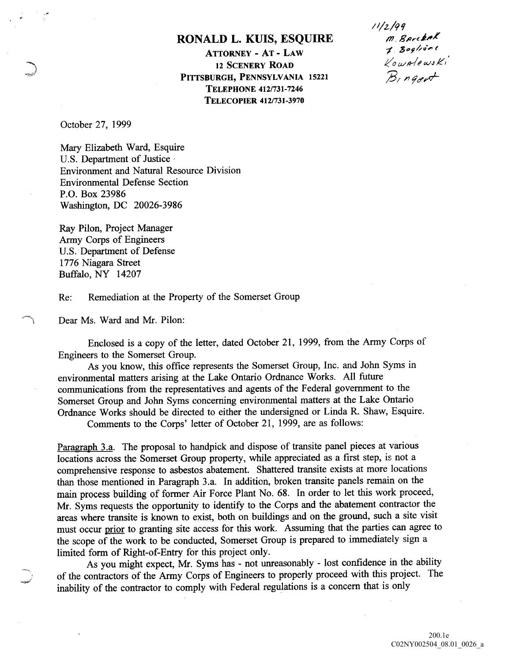## RONALD L. KUIS, ESQUIRE

**ATTORNEY - AT - LAW** TORNEY - AT - LAW<br>
12 SCENERY ROAD  $\ell_0 \omega_0 e^{i\omega_0 e}$ <br>
RGH, PENNSYLVANIA 15221  $\beta_1$  n gent PITTSBURGH, PENNSYLVANIA 15221 TELEPHONE 412/731-7246 TELECOPIER 412/731-3970

 $11/2/99$ M. Barckak

October 27, 1999

Mary Elizabeth Ward, Esquire U.S. Department of Justice Environment and Natural Resource Division Environmental Defense Section P.O. Box 23986 Washington, DC 20026-3986

Ray Pilon, Project Manager Army Corps of Engineers U.S. Department of Defense 1776 Niagara Street Buffalo, NY 14207

Re: Remediation at the Property of the Somerset Group

Dear Ms. Ward and Mr. Pilon:

Enclosed is a copy of the letter, dated October 21, 1999, from the Army Corps of Engineers to the Somerset Group

As you know, this office represents the Somerset Group, Inc. and John Syms in environmental matters arising at the Lake Ontario Ordnance Works All future communications from the representatives and agents of the Federal government to the Somerset Group and John Syms concerning environmental matters at the Lake Ontario Ordnance Works should be directed to either the undersigned or Linda R. Shaw, Esquire. Comments to the Corps' letter of October 21, 1999, are as follows:

Paragraph 3.a. The proposal to handpick and dispose of transite panel pieces at various locations across the Somerset Group property, while appreciated as a first step, is not a comprehensive response to asbestos abatement. Shattered transite exists at more locations than those mentioned in Paragraph 3.a. In addition, broken transite panels remain on the main process building of former Air Force Plant No. 68. In order to let this work proceed, Mr. Syms requests the opportunity to identify to the Corps and the abatement contractor the areas where transite is known to exist, both on buildings and on the ground, such a site visit must occur prior to granting site access for this work. Assuming that the parties can agree to the scope of the work to be conducted, Somerset Group is prepared to immediately sign a limited form of Right-of-Entry for this project only

As you might expect, Mr. Syms has - not unreasonably - lost confidence in the ability of the contractors of the Army Corps of Engineers to properly proceed with this project. The inability of the contractor to comply with Federal regulations is concern that is only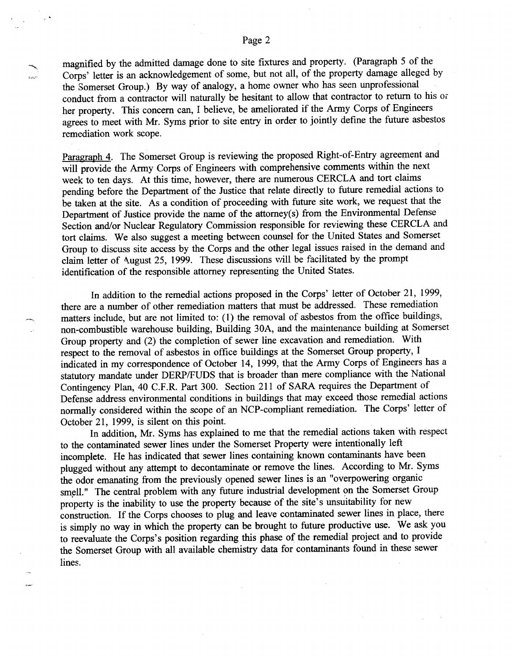## Page 2

magnified by the admitted damage done to site fixtures and property. (Paragraph 5 of the Corps' letter is an acknowledgement of some, but not all, of the property damage alleged by the Somerset Group.) By way of analogy, a home owner who has seen unprofessional conduct from a contractor will naturally be hesitant to allow that contractor to return to his or her property. This concern can, I believe, be ameliorated if the Army Corps of Engineers agrees to meet with Mr. Syms prior to site entry in order to jointly define the future asbestos remediation work scope

Paragraph 4. The Somerset Group is reviewing the proposed Right-of-Entry agreement and will provide the Army Corps of Engineers with comprehensive comments within the next week to ten days. At this time, however, there are numerous CERCLA and tort claims pending before the Department of the Justice that relate directly to future remedial actions to be taken at the site. As a condition of proceeding with future site work, we request that the Department of Justice provide the name of the attorney(s) from the Environmental Defense Section and/or Nuclear Regulatory Commission responsible for reviewing these CERCLA and tort claims. We also suggest a meeting between counsel for the United States and Somerset Group to discuss site access by the Corps and the other legal issues raised in the demand and claim letter of August 25, 1999. These discussions will be facilitated by the prompt identification of the responsible attorney representing the United States

In addition to the remedial actions proposed in the Corps' letter of October 21, 1999, there are a number of other remediation matters that must be addressed. These remediation matters include, but are not limited to: (1) the removal of asbestos from the office buildings, non-combustible warehouse building Building 30A and the maintenance building at Somerset Group property and (2) the completion of sewer line excavation and remediation. With respect to the removal of asbestos in office buildings at the Somerset Group property indicated in my correspondence of October 14, 1999, that the Army Corps of Engineers has a statutory mandate under DERP/FUDS that is broader than mere compliance with the National Contingency Plan, 40 C.F.R. Part 300. Section 211 of SARA requires the Department of Defense address environmental conditions in buildings that may exceed those remedial actions normally considered within the scope of an NCP-compliant remediation. The Corps' letter of October 21, 1999, is silent on this point.

In addition, Mr. Syms has explained to me that the remedial actions taken with respect to the contaminated sewer lines under the Somerset Property were intentionally left incomplete. He has indicated that sewer lines containing known contaminants have been plugged without any attempt to decontaminate or remove the lines. According to Mr. Syms the odor emanating from the previously opened sewer lines is an "overpowering organic smell." The central problem with any future industrial development on the Somerset Group property is the inability to use the property because of the site's unsuitability for new construction. If the Corps chooses to plug and leave contaminated sewer lines in place, there is simply no way in which the property can be brought to future productive use. We ask you to reevaluate the Corps's position regarding this phase of the remedial project and to provide the Somerset Group with all available chemistry data for contaminants found in these sewer lines